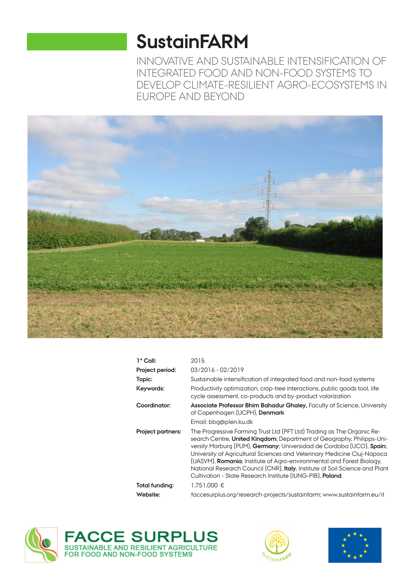# **SustainFARM**

INNOVATIVE AND SUSTAINABLE INTENSIFICATION OF INTEGRATED FOOD AND NON-FOOD SYSTEMS TO DEVELOP CLIMATE-RESILIENT AGRO-ECOSYSTEMS IN EUROPE AND BEYOND



| 1° Call:                 | 2015                                                                                                                                                                                                                                                                                                                                                                                                                                                                                                                             |
|--------------------------|----------------------------------------------------------------------------------------------------------------------------------------------------------------------------------------------------------------------------------------------------------------------------------------------------------------------------------------------------------------------------------------------------------------------------------------------------------------------------------------------------------------------------------|
| Project period:          | 03/2016 - 02/2019                                                                                                                                                                                                                                                                                                                                                                                                                                                                                                                |
| Topic:                   | Sustainable intensification of integrated food and non-food systems                                                                                                                                                                                                                                                                                                                                                                                                                                                              |
| Keywords:                | Productivity optimization, crop-tree interactions, public goods tool, life<br>cycle assessment, co-products and by-product valorization                                                                                                                                                                                                                                                                                                                                                                                          |
| Coordinator:             | <b>Associate Professor Bhim Bahadur Ghaley, Faculty of Science, University</b><br>of Copenhagen (UCPH), Denmark                                                                                                                                                                                                                                                                                                                                                                                                                  |
|                          | Email: bbg@plen.ku.dk                                                                                                                                                                                                                                                                                                                                                                                                                                                                                                            |
| <b>Project partners:</b> | The Progressive Farming Trust Ltd (PFT Ltd) Trading as The Organic Re-<br>search Centre, <b>United Kingdom</b> ; Department of Geography, Philipps-Uni-<br>versity Marburg (PUM), Germany; Universidad de Cordoba (UCO), Spain;<br>University of Agricultural Sciences and Veterinary Medicine Cluj-Napoca<br>(UASVM), Romania; Institute of Agro-environmental and Forest Biology,<br>National Research Council (CNR), Italy, Institute of Soil Science and Plant<br>Cultivation - State Research Institute (IUNG-PIB), Poland. |
| Total funding:           | 1.751.000 €                                                                                                                                                                                                                                                                                                                                                                                                                                                                                                                      |
| Website:                 | faccesurplus.org/research-projects/sustainfarm; www.sustainfarm.eu/it                                                                                                                                                                                                                                                                                                                                                                                                                                                            |
|                          |                                                                                                                                                                                                                                                                                                                                                                                                                                                                                                                                  |